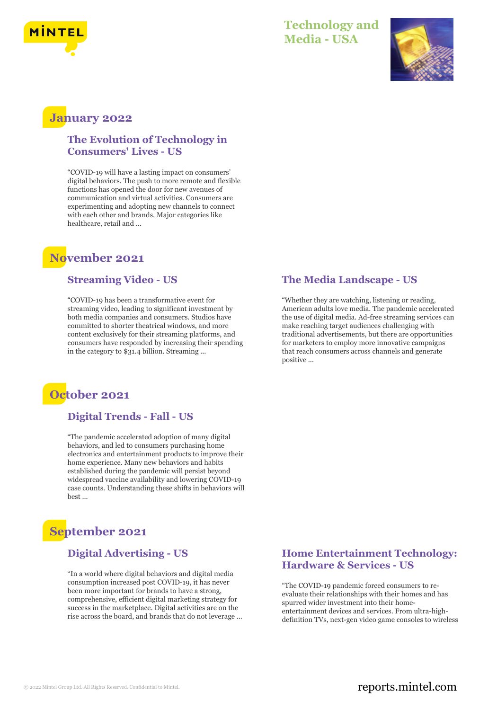

### **Technology and Media - USA**



## **January 2022**

#### **The Evolution of Technology in Consumers' Lives - US**

"COVID-19 will have a lasting impact on consumers' digital behaviors. The push to more remote and flexible functions has opened the door for new avenues of communication and virtual activities. Consumers are experimenting and adopting new channels to connect with each other and brands. Major categories like healthcare, retail and ...

## **November 2021**

#### **Streaming Video - US**

"COVID-19 has been a transformative event for streaming video, leading to significant investment by both media companies and consumers. Studios have committed to shorter theatrical windows, and more content exclusively for their streaming platforms, and consumers have responded by increasing their spending in the category to \$31.4 billion. Streaming ...



#### **Digital Trends - Fall - US**

"The pandemic accelerated adoption of many digital behaviors, and led to consumers purchasing home electronics and entertainment products to improve their home experience. Many new behaviors and habits established during the pandemic will persist beyond widespread vaccine availability and lowering COVID-19 case counts. Understanding these shifts in behaviors will best ...

# **September 2021**

#### **Digital Advertising - US**

"In a world where digital behaviors and digital media consumption increased post COVID-19, it has never been more important for brands to have a strong, comprehensive, efficient digital marketing strategy for success in the marketplace. Digital activities are on the rise across the board, and brands that do not leverage ...

#### **The Media Landscape - US**

"Whether they are watching, listening or reading, American adults love media. The pandemic accelerated the use of digital media. Ad-free streaming services can make reaching target audiences challenging with traditional advertisements, but there are opportunities for marketers to employ more innovative campaigns that reach consumers across channels and generate positive ...

#### **Home Entertainment Technology: Hardware & Services - US**

"The COVID-19 pandemic forced consumers to reevaluate their relationships with their homes and has spurred wider investment into their homeentertainment devices and services. From ultra-highdefinition TVs, next-gen video game consoles to wireless

#### © 2022 Mintel Group Ltd. All Rights Reserved. Confidential to Mintel.  $\blacksquare$  reports.mintel.com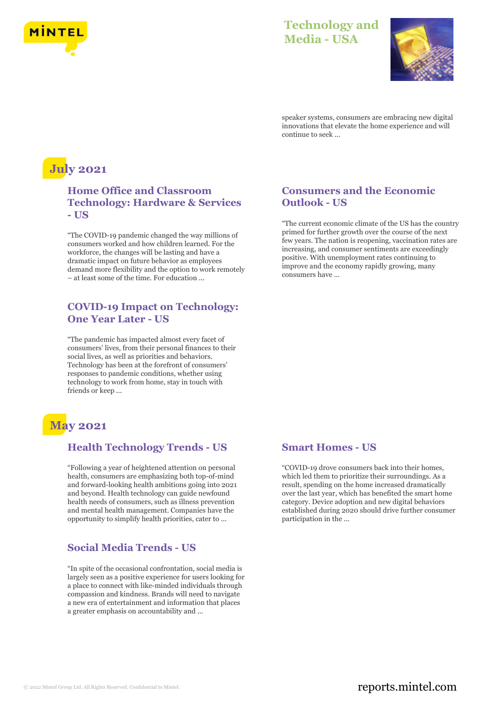

## **Technology and Media - USA**



speaker systems, consumers are embracing new digital innovations that elevate the home experience and will continue to seek ...

# **July 2021**

#### **Home Office and Classroom Technology: Hardware & Services - US**

"The COVID-19 pandemic changed the way millions of consumers worked and how children learned. For the workforce, the changes will be lasting and have a dramatic impact on future behavior as employees demand more flexibility and the option to work remotely – at least some of the time. For education ...

#### **COVID-19 Impact on Technology: One Year Later - US**

"The pandemic has impacted almost every facet of consumers' lives, from their personal finances to their social lives, as well as priorities and behaviors. Technology has been at the forefront of consumers' responses to pandemic conditions, whether using technology to work from home, stay in touch with friends or keep ...

# **May 2021**

#### **Health Technology Trends - US**

"Following a year of heightened attention on personal health, consumers are emphasizing both top-of-mind and forward-looking health ambitions going into 2021 and beyond. Health technology can guide newfound health needs of consumers, such as illness prevention and mental health management. Companies have the opportunity to simplify health priorities, cater to ...

#### **Social Media Trends - US**

"In spite of the occasional confrontation, social media is largely seen as a positive experience for users looking for a place to connect with like-minded individuals through compassion and kindness. Brands will need to navigate a new era of entertainment and information that places a greater emphasis on accountability and ...

#### **Consumers and the Economic Outlook - US**

"The current economic climate of the US has the country primed for further growth over the course of the next few years. The nation is reopening, vaccination rates are increasing, and consumer sentiments are exceedingly positive. With unemployment rates continuing to improve and the economy rapidly growing, many consumers have ...

#### **Smart Homes - US**

"COVID-19 drove consumers back into their homes, which led them to prioritize their surroundings. As a result, spending on the home increased dramatically over the last year, which has benefited the smart home category. Device adoption and new digital behaviors established during 2020 should drive further consumer participation in the ...